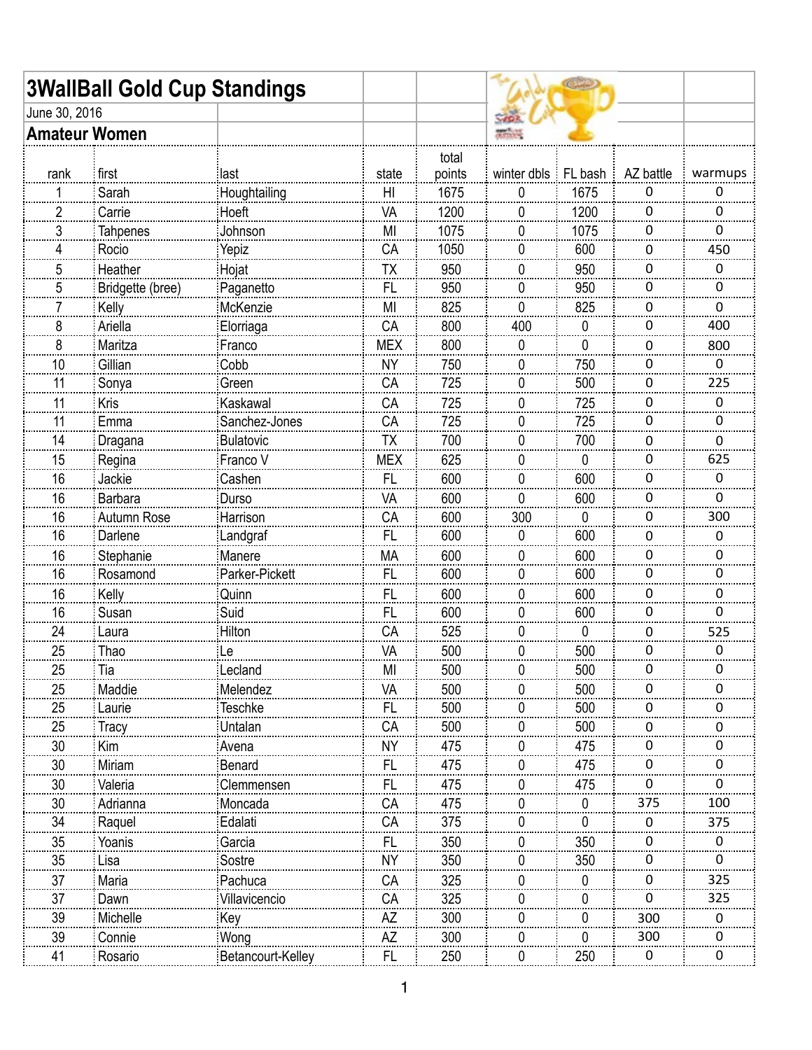|                      | <b>3WallBall Gold Cup Standings</b> |                   |            |                 |                      |            |              |         |
|----------------------|-------------------------------------|-------------------|------------|-----------------|----------------------|------------|--------------|---------|
| June 30, 2016        |                                     |                   |            |                 |                      |            |              |         |
| <b>Amateur Women</b> |                                     |                   |            |                 | <b><i>Report</i></b> |            |              |         |
| rank                 | first                               | last              | state      | total<br>points | winter dbls          | $ FL$ bash | AZ battle    | warmups |
|                      | Sarah                               | Houghtailing      | HI         | 1675            | 0                    | 1675       | 0            | 0       |
| $\overline{c}$       | Carrie                              | Hoeft             | VA         | 1200            | 0                    | 1200       | 0            | 0       |
| 3                    | <b>Tahpenes</b>                     | Johnson           | MI         | 1075            | 0                    | 1075       | 0            | 0       |
| 4                    | Rocio                               | Yepiz             | CA         | 1050            | 0                    | 600        | $\mathbf{0}$ | 450     |
| 5                    | Heather                             | Hojat             | TX         | 950             | 0                    | 950        | 0            | 0       |
| 5                    | Bridgette (bree)                    | Paganetto         | <b>FL</b>  | 950             | 0                    | 950        | 0            | 0       |
|                      | Kelly                               | McKenzie          | MI         | 825             | 0                    | 825        | 0            | 0       |
| 8                    | Ariella                             | Elorriaga         | CA         | 800             | 400                  | 0          | 0            | 400     |
| 8                    | Maritza                             | Franco            | <b>MEX</b> | 800             | 0                    | 0          | 0            | 800     |
| 10                   | Gillian                             | Cobb              | <b>NY</b>  | 750             | 0                    | 750        | 0            | 0       |
| 11                   | Sonya                               | Green             | CA         | 725             | 0                    | 500        | 0            | 225     |
| 11                   | Kris                                | Kaskawal          | CA         | 725             | 0                    | 725        | 0            | 0       |
| 11                   | Emma                                | Sanchez-Jones     | CA         | 725             | 0                    | 725        | 0            | 0       |
| 14                   | Dragana                             | <b>Bulatovic</b>  | <b>TX</b>  | 700             | 0                    | 700        | 0            | 0       |
| 15                   | Regina                              | Franco V          | <b>MEX</b> | 625             | 0                    | 0          | 0            | 625     |
| 16                   | Jackie                              | Cashen            | <b>FL</b>  | 600             | 0                    | 600        | 0            | 0       |
| 16                   | <b>Barbara</b>                      | Durso             | VA         | 600             | 0                    | 600        | 0            | 0       |
| 16                   | Autumn Rose                         | Harrison          | CA         | 600             | 300                  | 0          | 0            | 300     |
| 16                   | Darlene                             | Landgraf          | FL         | 600             | 0                    | 600        | 0            | 0       |
| 16                   | Stephanie                           | Manere            | МA         | 600             | 0                    | 600        | 0            | 0       |
| 16                   | Rosamond                            | Parker-Pickett    | <b>FL</b>  | 600             | 0                    | 600        | 0            | 0       |
| 16                   | Kelly                               | Quinn             | FL         | 600             | 0                    | 600        | 0            | 0       |
| 16                   | Susan                               | Suid              | FL         | 600             | 0                    | 600        | 0            | 0       |
| 24                   | Laura                               | Hilton            | CA         | 525             | 0                    | 0          | 0            | 525     |
| 25                   | Thao                                | ∶Le               | VA         | 500             | 0                    | 500        | 0            | 0       |
| 25                   | Tia                                 | Lecland           | MI         | 500             | <sup>0</sup>         | 500        | $\mathbf{0}$ | 0       |
| 25                   | Maddie                              | Melendez          | VA         | 500             |                      | 500        | 0            | 0       |
| 25                   | Laurie                              | <b>Teschke</b>    | <b>FL</b>  | 500             | O                    | 500        | 0            | 0       |
| 25                   | Tracy                               | Untalan           | CA         | 500             |                      | 500        | O            | 0       |
| 30                   | Kim                                 | Avena             | <b>NY</b>  | 475             | $\cup$               | 475        | 0            | 0       |
| 30                   | Miriam                              | Benard            | <b>FL</b>  | 475             | U                    | 475        | 0            | 0       |
| 30                   | Valeria                             | Clemmensen        | FL         | 475             |                      | 475        | 0            | 0       |
| 30                   | Adrianna                            | Moncada           | CA         | 475             |                      | 0          | 375          | 100     |
| 34                   | Raquel                              | Edalati           | CA         | 375             |                      | 0          | O            | 375     |
| 35                   | Yoanis                              | Garcia            | FL         | 350             | $\cup$               | 350        | 0            | 0       |
| 35                   | Lisa                                | Sostre            | <b>NY</b>  | 350             | U                    | 350        | 0            | 0       |
| 37                   | Maria                               | Pachuca           | СA         | 325             |                      | 0          | 0            | 325     |
| 37                   | Dawn                                | Villavicencio     | CA         | 325             | $\mathbf{0}$         | 0          | 0            | 325     |
| 39                   | Michelle                            | Key               | AZ         | 300             |                      | 0          | 300          | 0       |
| 39                   | Connie                              | Wong              | AΖ         | 300             |                      | 0          | 300          | 0       |
| 41                   | Rosario                             | Betancourt-Kelley | FL         | 250             |                      | 250        | $\mathbf{0}$ | o       |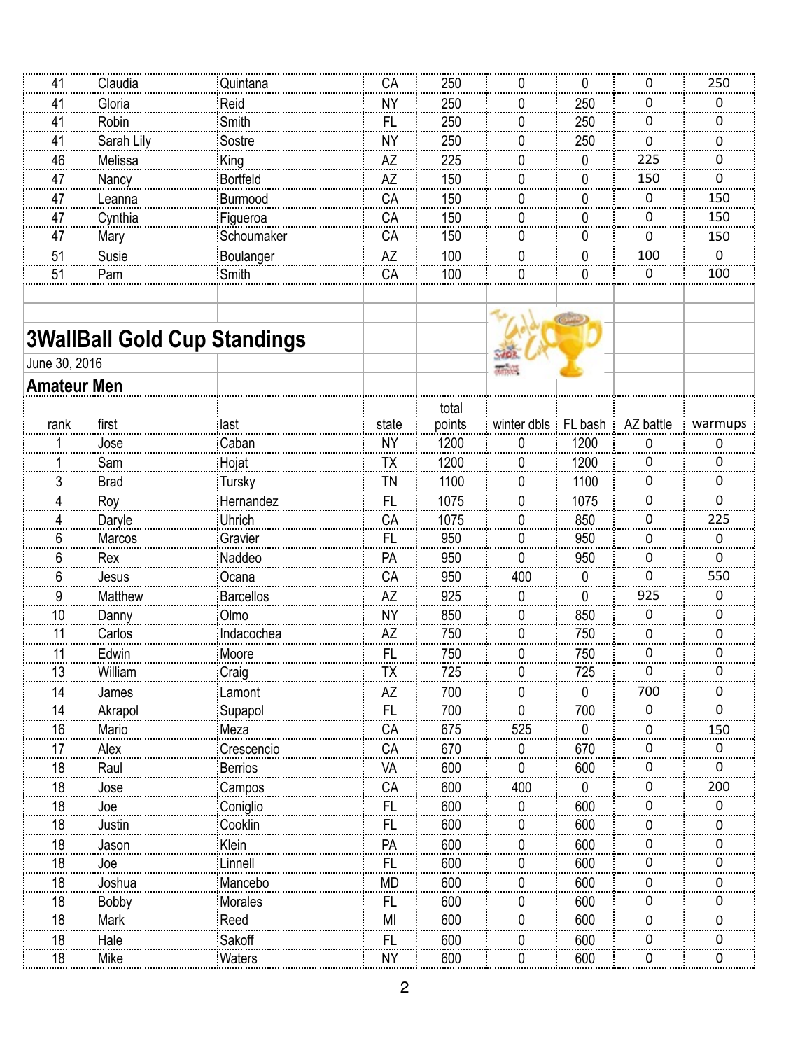| 41                 | Claudia     | Quintana                            | CA             | 250    | 0                     | 0            | 0           | 250      |
|--------------------|-------------|-------------------------------------|----------------|--------|-----------------------|--------------|-------------|----------|
| 41                 | Gloria      | Reid                                | NΥ             | 250    | 0                     | 250          | 0           | 0        |
| 41                 | Robin       | Smith                               | FL             | 250    | 0                     | 250          | 0           | 0        |
| 41                 | Sarah Lily  | Sostre                              | <b>NY</b>      | 250    | $\Omega$              | 250          | $\mathbf 0$ | 0        |
| 46                 | Melissa     | King                                | AZ             | 225    | 0                     | 0            | 225         | 0        |
| 47                 | Nancy       | <b>Bortfeld</b>                     | <b>AZ</b>      | 150    | 0                     | $\Omega$     | 150         | $\Omega$ |
| 47                 | Leanna      | <b>Burmood</b>                      | CA             | 150    | 0                     | 0            | 0           | 150      |
| 47                 | Cynthia     | Figueroa                            | CA             | 150    | 0                     | 0            | 0           | 150      |
| 47                 | Mary        | Schoumaker                          | CA             | 150    | 0                     | 0            | 0           | 150      |
| 51                 | Susie       | Boulanger                           | ΑZ             | 100    | 0                     | 0            | 100         | 0        |
| 51                 | Pam         | Smith                               | CA             | 100    | $\mathbf 0$           | 0            | 0           | 100      |
|                    |             |                                     |                |        |                       |              |             |          |
|                    |             |                                     |                |        |                       | $\mathbb{C}$ |             |          |
|                    |             | <b>3WallBall Gold Cup Standings</b> |                |        |                       |              |             |          |
| June 30, 2016      |             |                                     |                |        | <b>WINNY</b>          |              |             |          |
| <b>Amateur Men</b> |             |                                     |                |        |                       |              |             |          |
|                    |             |                                     |                | total  |                       |              |             |          |
| rank               | first       | last                                | state          | points | winter dbls : FL bash |              | AZ battle   | warmups  |
|                    | Jose        | Caban                               | <b>NY</b>      | 1200   | 0                     | 1200         | 0           | 0        |
|                    | Sam         | Hojat                               | TΧ             | 1200   | 0                     | 1200         | 0           | 0        |
| 3                  | <b>Brad</b> | <b>Tursky</b>                       | <b>TN</b>      | 1100   | 0                     | 1100         | 0           | 0        |
| 4                  | Roy         | Hernandez                           | FL             | 1075   | 0                     | 1075         | 0           | 0        |
| 4                  | Daryle      | Uhrich                              | CA             | 1075   | 0                     | 850          | 0           | 225      |
| 6                  | Marcos      | Gravier                             | FL             | 950    | 0                     | 950          | 0           | 0        |
| 6                  | Rex         | Naddeo                              | PA             | 950    | $\Omega$              | 950          | 0           | 0        |
| 6                  | Jesus       | Ocana                               | CA             | 950    | 400                   | 0            | $\Omega$    | 550      |
| 9                  | Matthew     | <b>Barcellos</b>                    | ΑZ             | 925    | 0                     | 0            | 925         | 0        |
| 10                 | Danny       | Olmo                                | <b>NY</b>      | 850    | 0                     | 850          | 0           | 0        |
| 11                 | Carlos      | Indacochea                          | AZ             | 750    | 0                     | 750          | 0           | 0        |
| 11                 | Edwin       | Moore                               | FL             | 750    | 0                     | 750          | 0           | 0        |
| 13                 | William     | Craig                               | TX             | 725    | 0                     | 725          | $\mathbf 0$ | 0        |
| 14                 | James       | Lamont                              | ΑZ             | 700    | $^{(1)}$              | 0            | 700         | 0        |
| 14                 | Akrapol     | Supapol                             | <b>FL</b>      | 700    | 0                     | 700          | 0           | 0        |
| 16                 | Mario       | Meza                                | CA             | 675    | 525                   | 0            | 0           | 150      |
| 17                 | Alex        | Crescencio                          | CA             | 670    | $\bf{0}$              | 670          | 0           | 0        |
| 18                 | Raul        | Berrios                             | VA             | 600    | 0                     | 600          | $\Omega$    | 0        |
| 18                 | Jose        | Campos                              | СA             | 600    | 400                   | 0            | 0           | 200      |
| 18                 | Joe         | Coniglio                            | <b>FL</b>      | 600    | $\Omega$              | 600          | $\Omega$    | 0        |
| 18                 | Justin      | Cooklin                             | <b>FL</b>      | 600    |                       | 600          | 0           | 0        |
| 18                 | Jason       | Klein                               | PA             | 600    | $\Omega$              | 600          | 0           | 0        |
| 18                 | Joe         | Linnell                             | <b>FL</b>      | 600    | <sup>0</sup>          | 600          | 0           | O.       |
| 18                 | Joshua      | Mancebo                             | <b>MD</b>      | 600    | $^{(1)}$              | 600          | 0           | 0        |
| 18                 | Bobby       | Morales                             | <b>FL</b>      | 600    | 0                     | 600          | 0           | 0        |
| 18                 | Mark        | Reed                                | M <sub>1</sub> | 600    | <sup>0</sup>          | 600          | 0           | 0        |
| 18                 | Hale        | Sakoff                              | FL             | 600    | $\Omega$              | 600          | 0           | 0        |
| 18                 | Mike        | Waters                              | <b>NY</b>      | 600    | 0                     | 600          | 0           | 0        |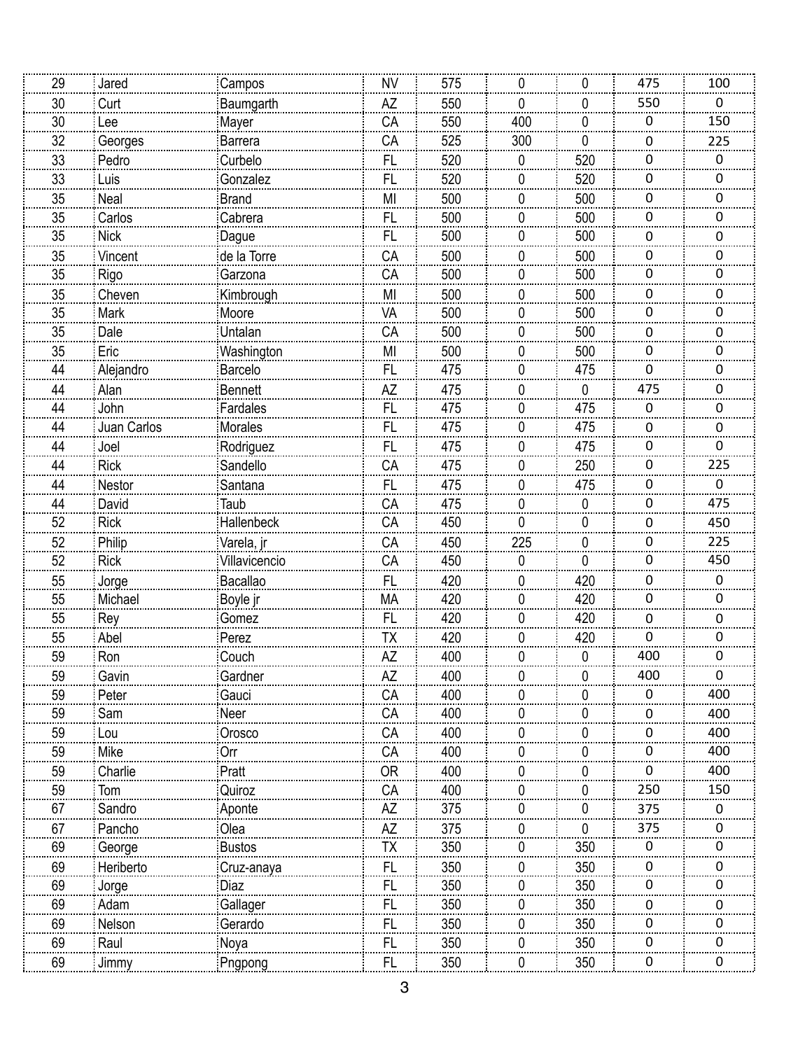| 29 |                 |                 |                |     |              |          |                  |                 |
|----|-----------------|-----------------|----------------|-----|--------------|----------|------------------|-----------------|
|    | Jared           | Campos          | <b>NV</b>      | 575 | 0            | 0        | 475              | 100             |
| 30 | Curt            | Baumgarth       | AZ             | 550 | 0            | 0        | 550              | 0               |
| 30 | Lee             | Mayer           | CA             | 550 | 400          | 0        | $\boldsymbol{0}$ | 150             |
| 32 | Georges         | Barrera         | CA             | 525 | 300          | 0        | 0                | 225             |
| 33 | Pedro           | Curbelo         | FL             | 520 | 0            | 520      | 0                | 0               |
| 33 | Luis            | Gonzalez        | <b>FL</b>      | 520 | 0            | 520      | 0                | U               |
| 35 | Neal            | <b>Brand</b>    | M <sub>1</sub> | 500 | 0            | 500      | 0                | 0               |
| 35 | Carlos          | Cabrera         | FL.            | 500 | 0            | 500      | 0                | 0               |
| 35 | <b>Nick</b>     | Dague           | <b>FL</b>      | 500 | 0            | 500      | 0                | 0               |
| 35 | Vincent         | de la Torre     | CA             | 500 | 0            | 500      | 0                | 0               |
| 35 | Rigo            | Garzona         | CA             | 500 | 0            | 500      | 0                | 0               |
| 35 | Cheven          | Kimbrough       | M <sub>1</sub> | 500 | 0            | 500      | 0                | 0               |
| 35 | Mark            | Moore           | VA             | 500 | 0            | 500      | 0                | 0               |
| 35 | Dale            | Untalan         | CA             | 500 | 0            | 500      | 0                | 0               |
| 35 | Eric            | Washington      | MI             | 500 | 0            | 500      | 0                | 0               |
| 44 | Alejandro       | Barcelo         | <b>FL</b>      | 475 | 0            | 475      | $\Omega$         | 0               |
| 44 | Alan            | <b>Bennett</b>  | AZ             | 475 | 0            | 0        | 475              | O               |
| 44 | John            | Fardales        | FL.            | 475 | 0            | 475      | $\boldsymbol{0}$ | 0               |
| 44 | Juan Carlos     | Morales         | FL             | 475 | 0            | 475      | 0                | 0               |
| 44 | Joel            | Rodriguez       | FL             | 475 | 0            | 475      | 0                | 0               |
| 44 | <b>Rick</b>     | Sandello        | CA             | 475 | 0            | 250      | $\mathbf{0}$     | $\frac{1}{225}$ |
| 44 |                 |                 | FL             | 475 |              |          | 0                | 0               |
| 44 | Nestor<br>David | Santana<br>Taub | CA             | 475 | 0<br>0       | 475<br>0 | $\pmb{0}$        | 475             |
| 52 | Rick            | Hallenbeck      | CA             |     | 0            | 0        |                  |                 |
| 52 |                 |                 |                | 450 |              |          | 0                | 450<br>225      |
|    | Philip          | Varela, jr      | CA             | 450 | 225          | 0        | 0                |                 |
|    |                 |                 |                |     |              |          |                  |                 |
| 52 | <b>Rick</b>     | Villavicencio   | CA             | 450 | 0            | 0        | 0                | 450             |
| 55 | Jorge           | Bacallao        | FL             | 420 | 0            | 420      | 0                | 0               |
| 55 | Michael         | Boyle jr        | <b>MA</b>      | 420 | 0            | 420      | $\pmb{0}$        | 0               |
| 55 | Rey             | Gomez           | FL             | 420 | 0            | 420      | 0                | 0               |
| 55 | Abel            | Perez           | TΧ             | 420 | 0            | 420      | 0                | 0               |
| 59 | Ron             | Couch           | <b>AZ</b>      | 400 | 0            | 0        | 400              | 0               |
| 59 | Gavin           | Gardner         | AZ             | 400 | 0            | 0        | 400              | 0               |
| 59 | Peter           | Gauci           | CA             | 400 | <sup>n</sup> | 0        | 0                | 400             |
| 59 | Sam             | Neer            | СA             | 400 |              | 0        | 0                | 400             |
| 59 | Lou             | Orosco          | СA             | 400 | 0            | 0        | 0                | 400             |
| 59 | Mike            | Orr             | CA             | 400 | n            | 0        | 0                | 400             |
| 59 | Charlie         | Pratt           | <b>OR</b>      | 400 |              | 0        | 0                | 400             |
| 59 | Tom             | Quiroz          | CA             | 400 | 0            | 0        | 250              | 150             |
| 67 | Sandro          | Aponte          | AZ             | 375 |              | 0        | 375              | 0               |
| 67 | Pancho          | Olea            | AZ             | 375 | 0            | 0        | 375              | O               |
| 69 | George          | <b>Bustos</b>   | TX             | 350 | 0            | 350      | 0                | O               |
| 69 | Heriberto       | Cruz-anaya      | FL             | 350 | $^{(1)}$     | 350      | $\Omega$         |                 |
| 69 | Jorge           | Diaz            | <b>FL</b>      | 350 | 0            | 350      | 0                | n               |
| 69 | Adam            | Gallager        | FL             | 350 | 0            | 350      | 0                | 0               |
| 69 | Nelson          | Gerardo         | FL             | 350 | 0            | 350      | 0                | O.              |
| 69 | Raul            | Noya            | <br>FL         | 350 | 0            | 350      | 0                | U               |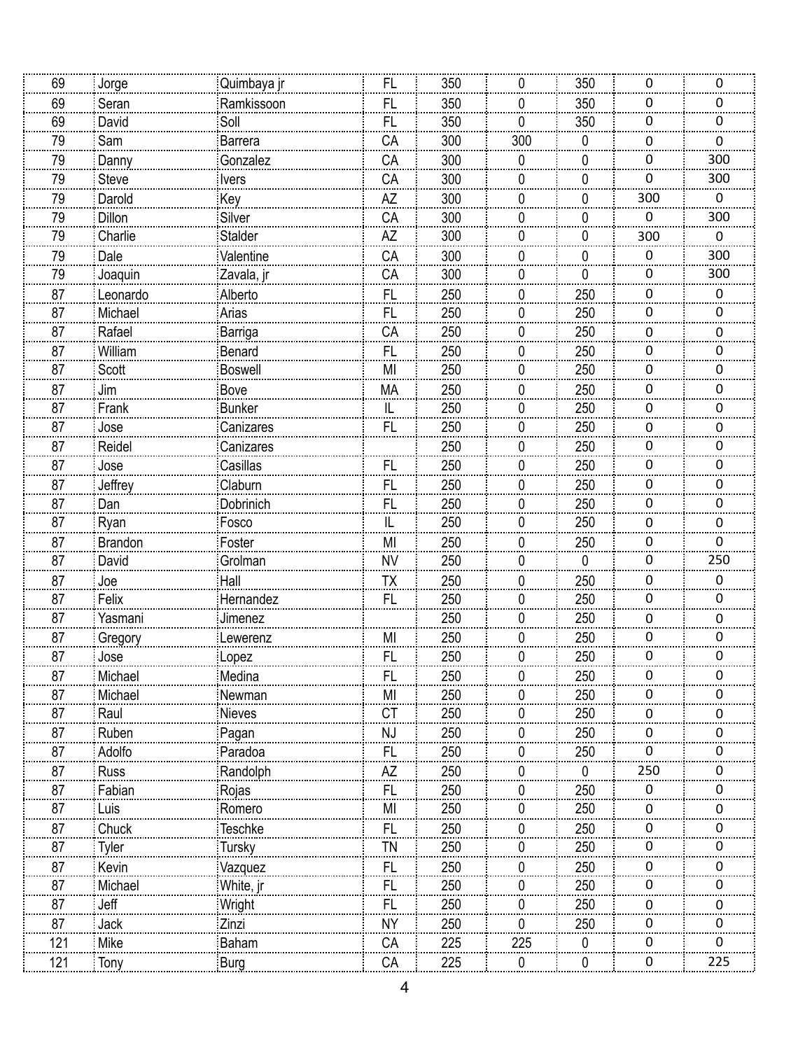| 69             | Jorge           | Quimbaya jr      | FL              | 350        | 0   | 350                | 0           | 0                |
|----------------|-----------------|------------------|-----------------|------------|-----|--------------------|-------------|------------------|
| 69             | Seran           | Ramkissoon       | FL              | 350        | 0   | 350                | 0           | 0                |
| 69             | David           | Soll             | <b>FL</b>       | 350        | 0   | 350                | 0           | 0                |
| 79             | Sam             | <b>Barrera</b>   | CA              | 300        | 300 | 0                  | 0           | 0                |
| 79             | Danny           | Gonzalez         | CA              | 300        | 0   | 0                  | 0           | 300              |
| 79             | Steve           | <i>lvers</i>     | CA              | 300        | 0   | 0                  | 0           | 300              |
| 79             | Darold          | Key              | AZ              | 300        | 0   | 0                  | 300         | $\mathbf 0$      |
| 79             | Dillon          | Silver           | CA              | 300        | 0   | 0                  | $\mathbf 0$ | 300              |
| 79             | Charlie         | Stalder          | AZ              | 300        | 0   | 0                  | 300         | $\boldsymbol{0}$ |
| 79             | Dale            | Valentine        | CA              | 300        | 0   | 0                  | 0           | 300              |
| 79             | Joaquin         | Zavala, jr       | CA              | 300        | 0   | 0                  | 0           | 300              |
| 87             | Leonardo        | Alberto          | FL              | 250        | 0   | 250                | 0           | 0                |
| 87             | Michael         | Arias            | FL              | 250        | 0   | 250                | 0           | 0                |
| 87             | Rafael          | Barriga          | CA              | 250        | 0   | 250                | 0           | 0                |
| 87             | William         | Benard           | FL              | 250        | 0   | 250                | 0           | 0                |
| $\frac{87}{2}$ | Scott           | <b>Boswell</b>   | MI              | 250        | 0   | 250                | 0           | 0                |
| 87             | Jim             | Bove             | MA              | 250        | 0   | 250                | 0           | 0                |
| 87             | Frank           | <b>Bunker</b>    | $\sf IL$        | 250        | 0   | 250                | $\mathbf 0$ | 0                |
| 87             | Jose            | Canizares        | <br><b>FL</b>   | 250        | 0   | 250                | 0           | 0                |
| 87             | Reidel          | Canizares        |                 | 250        | 0   | 250                | 0           | 0                |
| 87             | Jose            | Casillas         | <b>FL</b>       | 250        | 0   | 250                | 0           | 0                |
| 87             | Jeffrey         | Claburn          | FL              | 250        | 0   | 250                | 0           | 0                |
| 87             | Dan             | Dobrinich        | <b>FL</b>       | 250        | 0   | 250                | 0           | 0                |
| 87             | Ryan            | Fosco            | IL              | 250        | 0   | 250                | 0           | 0                |
| 87             | <b>Brandon</b>  | Foster           | MI              | 250        | 0   | 250                | 0           | 0                |
| $\frac{87}{2}$ | David           | Grolman          | <b>NV</b>       | 250        | 0   | 0                  | 0           | 250              |
| 87             | Joe             | Hall             | TΧ              | 250        | 0   | 250                | 0           | 0                |
| 87             | Felix           | Hernandez        | <b>FL</b>       | 250        | 0   | 250                | 0           | 0                |
| 87             | Yasmani         | Jimenez          |                 | 250        | 0   | 250                | 0           | 0                |
| 87             |                 | Lewerenz         | MI              | 250        | 0   | 250                | 0           | 0                |
| 87             | Gregory<br>Jose |                  | FL              | 250        | 0   | 250                | 0           | 0                |
| 87             | Michael         | Lopez<br>Medina  | FL              | 250        | 0   | 250                | 0           | 0                |
| 87             | Michael         |                  | MI              | 250        | O   | 250                | 0           | O                |
| 87             | Raul            | Newman           | CT              | 250        | 0   | 250                | 0           | 0                |
| 87             | Ruben           | Nieves           | NJ              | 250        | 0   | 250                | 0           | O                |
|                | Adolfo          | Pagan<br>Paradoa |                 |            | 0   | 250                | 0           |                  |
| 87             |                 |                  | FL              | 250        | 0   |                    | 250         |                  |
| 87<br>87       | Russ<br>Fabian  | Randolph         | AZ<br><b>FL</b> | 250<br>250 | 0   | $\mathbf 0$<br>250 | $\Omega$    | 0                |
| 87             |                 | Rojas            | MI              | 250        | 0   | 250                |             |                  |
|                | Luis            | Romero           |                 |            |     |                    | 0           | 0<br>O           |
| 87             | Chuck           | <b>Teschke</b>   | FL              | 250        | 0   | 250                | 0<br>0      |                  |
| 87             | <b>Tyler</b>    | Tursky           | TN              | 250        | O   | 250                |             |                  |
| 87             | Kevin           | Vazquez          | FL              | 250        | 0   | 250                | 0           | 0                |
| 87             | Michael         | White, jr        | <b>FL</b>       | 250        | 0   | 250                | 0           | O                |
| 87             | Jeff            | Wright           | FL              | 250        | 0   | 250                | 0           | 0                |
| 87             | Jack            | Zinzi            | <b>NY</b>       | 250        | 0   | 250                | 0           | O                |
| 121            | Mike            | Baham            | CA              | 225        | 225 | 0                  | 0           | U.               |
| 121            | Tony            | Burg             | CA              | 225        | 0   | 0                  | 0           | 225              |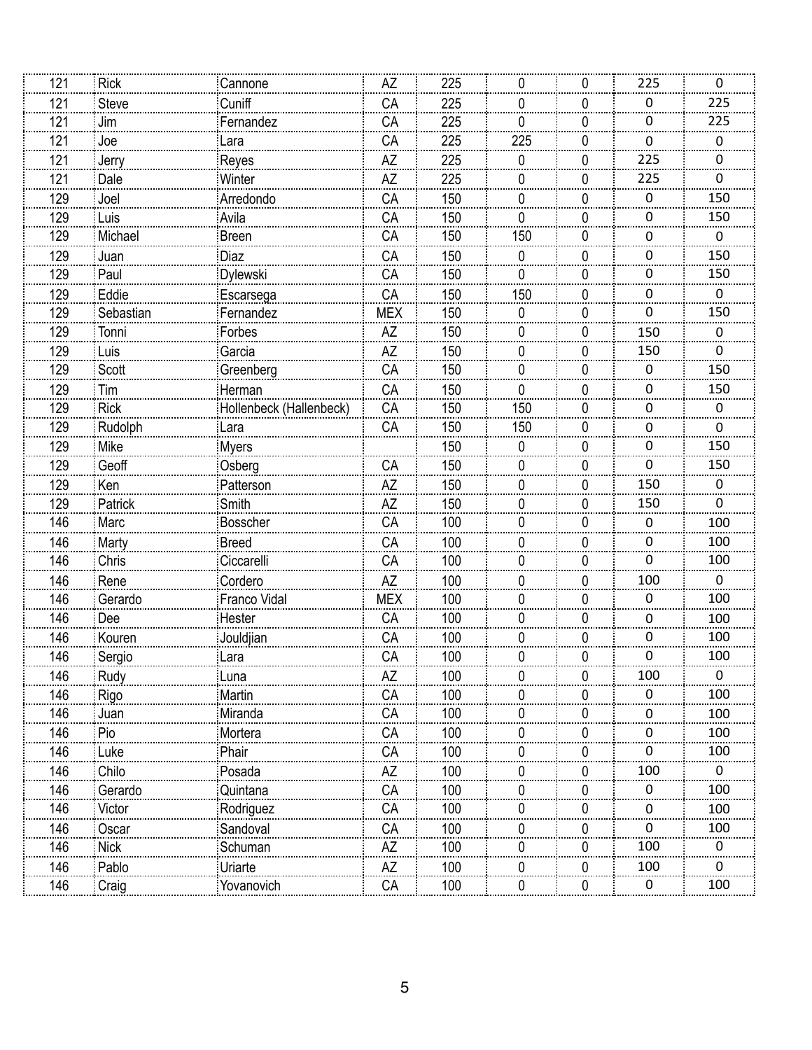| 121             | <b>Rick</b> | Cannone                 | AΖ         | 225 | 0            | 0 | 225              | 0                |
|-----------------|-------------|-------------------------|------------|-----|--------------|---|------------------|------------------|
| 121             | Steve       | Cuniff                  | CA         | 225 | 0            | 0 | 0                | 225              |
| 121             | Jim         | Fernandez               | CA         | 225 | 0            | 0 | 0                | 225              |
| 121             | Joe         | Lara                    | CA         | 225 | 225          | 0 | 0                | 0                |
| 121             | Jerry       | Reyes                   | AZ         | 225 | 0            | 0 | 225              | 0                |
| 121             | Dale        | Winter                  | AZ         | 225 | 0            | 0 | 225              | 0                |
| 129             | Joel        | Arredondo               | CA         | 150 | 0            | 0 | 0                | 150              |
| 129             | Luis        | Avila                   | CA         | 150 | 0            | 0 | $\boldsymbol{0}$ | 150              |
| 129             | Michael     | <b>Breen</b>            | CA         | 150 | 150          | 0 | 0                | $\boldsymbol{0}$ |
| 129             | Juan        | Diaz                    | CA         | 150 | 0            | 0 | 0                | 150              |
| 129             | Paul        | Dylewski                | CA         | 150 | 0            | 0 | 0                | 150              |
| 129             | Eddie       | Escarsega               | CA         | 150 | 150          | 0 | 0                | $\boldsymbol{0}$ |
| 129             | Sebastian   | Fernandez               | <b>MEX</b> | 150 | 0            | 0 | $\mathbf 0$      | 150              |
| 129             | Tonni       | Forbes                  | AZ         | 150 | 0            | 0 | 150              | 0                |
| 129             | Luis        | Garcia                  | AZ         | 150 | 0            | 0 | 150              | 0                |
| 129             | Scott       | Greenberg               | CA         | 150 | 0            | 0 | 0                | 150              |
| 129             | Tim         | Herman                  | CA         | 150 | 0            | 0 | 0                | 150              |
| 129             | <b>Rick</b> | Hollenbeck (Hallenbeck) | CA         | 150 | 150          | 0 | 0                | 0                |
| $\frac{1}{129}$ | Rudolph     | Lara                    | CA         | 150 | 150          | 0 | 0                | 0                |
| 129             | Mike        | <b>Myers</b>            |            | 150 | 0            | 0 | 0                | 150              |
| 129             | Geoff       | Osberg                  | CA         | 150 | 0            | 0 | 0                | 150              |
| 129             | Ken         | Patterson               | ΑZ         | 150 | 0            | 0 | 150              | 0                |
| 129             | Patrick     | Smith                   | AZ         | 150 | 0            | 0 | 150              | 0                |
| 146             | Marc        | <b>Bosscher</b>         | CA         | 100 | 0            | 0 | 0                | 100              |
| 146             | Marty       | <b>Breed</b>            | CA         | 100 | 0            | 0 | 0                | 100              |
| 146             | Chris       | Ciccarelli              | CA         | 100 | 0            | 0 | 0                | 100              |
| 146             | Rene        | Cordero                 | AZ         | 100 | 0            | 0 | 100              | 0                |
| 146             | Gerardo     | Franco Vidal            | <b>MEX</b> | 100 | 0            | 0 | 0                | 100              |
| 146             | Dee         | Hester                  | CA         | 100 | 0            | 0 | 0                | 100              |
| 146             | Kouren      | Jouldjian               | CA         | 100 | 0            | 0 | 0                | 100              |
| 146             | Sergio      | :Lara                   | CA         | 100 | 0            | 0 | 0                | 100              |
| 146             | Rudy        | Luna                    | AZ         | 100 | 0            | 0 | 100              | 0                |
| 146             | Rigo        | Martin                  | CA         | 100 |              | O | 0                | 100              |
| 146             | Juan        | Miranda                 | CA         | 100 |              | 0 | 0                | 100              |
| 146             | Pio         | Mortera                 | CA         | 100 | $\mathbf{0}$ | 0 | 0                | 100              |
| 146             | Luke        | Phair                   | CA         | 100 |              | 0 | 0                | 100              |
| 146             | Chilo       | Posada                  | AZ         | 100 |              | 0 | 100              | 0                |
| 146             | Gerardo     | Quintana                | CA         | 100 | U            | 0 | 0                | 100              |
| 146             | Victor      | Rodriguez               | CA         | 100 |              | 0 | 0                | 100              |
| 146             | Oscar       | Sandoval                | СA         | 100 |              | 0 | $\Omega$         | 100              |
| 146             | <b>Nick</b> | Schuman                 | AZ         | 100 |              | 0 | 100              |                  |
| 146             | Pablo       | Uriarte                 | AZ         | 100 |              | 0 | 100              |                  |
| 146             | Craig       | Yovanovich              | CA         | 100 | 0            | 0 | $\mathbf 0$      | 100              |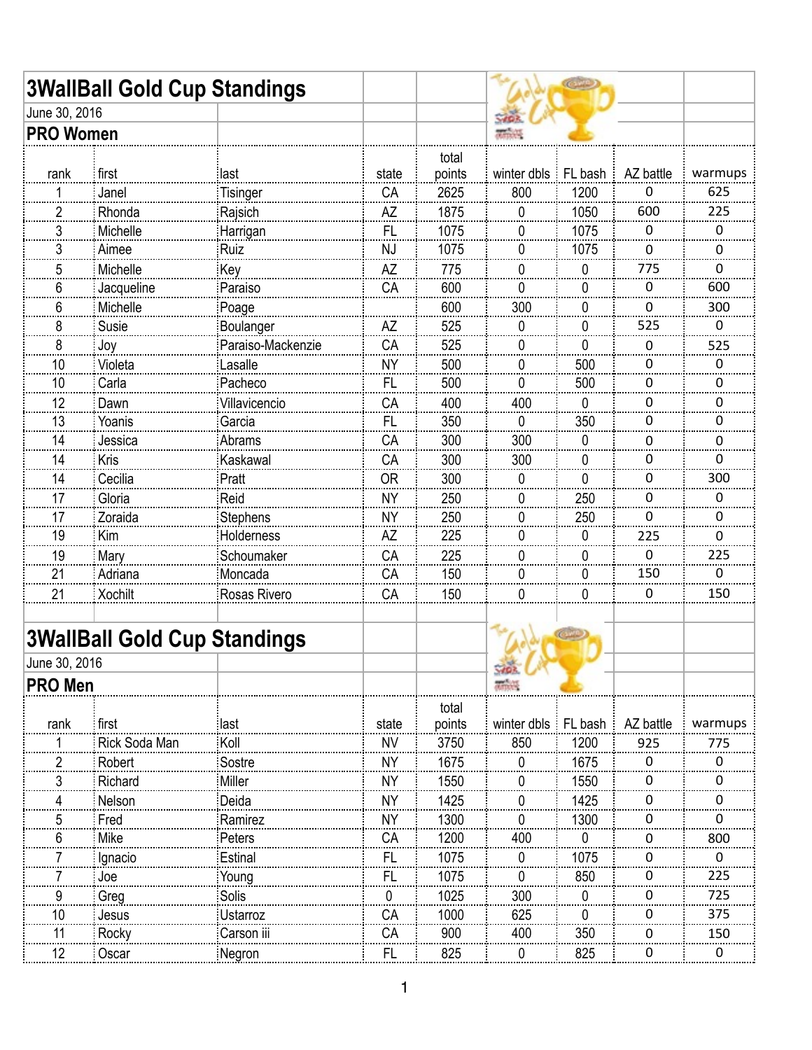| June 30, 2016<br><b>PRO Women</b><br>total<br>points<br>AZ battle<br>last<br>winter dbls $\frac{1}{2}$ FL bash<br>first<br>state<br>rank<br>1200<br>CA<br>2625<br>800<br>Janel<br>Tisinger<br>0<br>2<br>1875<br>1050<br>Rhonda<br>AZ<br>600<br>Rajsich<br>0<br>3<br><b>FL</b><br>1075<br>1075<br>Michelle<br>0<br>0<br>0<br>Harrigan<br>3<br>NJ<br>1075<br>1075<br>Aimee<br>Ruiz<br>0<br>0<br>0<br>775<br>5<br>Michelle<br><b>AZ</b><br>775<br>Key<br>0<br>0<br>0<br>CA<br>600<br>6<br>Jacqueline<br>Paraiso<br>0<br>0<br>0<br>300<br>6<br>600<br>Michelle<br>0<br>0<br>Poage<br>525<br>8<br>AZ<br>525<br>Susie<br>0<br>0<br>Boulanger<br>0<br>8<br>Paraiso-Mackenzie<br>CA<br>525<br>0<br>Joy<br>0<br>0<br>10<br>Lasalle<br><b>NY</b><br>500<br>500<br>0<br>0<br>Violeta<br>0<br>10<br>Pacheco<br>FL<br>500<br>500<br>Carla<br>0<br>0<br>0<br>12<br>400<br>400<br>CA<br>0<br>0<br>Dawn<br>Villavicencio<br>0<br>13<br><b>FL</b><br>350<br>Yoanis<br>350<br>0<br>Garcia<br>0<br>0<br>CA<br>300<br>300<br>14<br>Abrams<br>Jessica<br>0<br>0<br>0<br>CA<br>300<br>300<br>14<br>Kris<br>Kaskawal<br>0<br>0<br>0<br>Cecilia<br><b>OR</b><br>300<br>14<br>Pratt<br>0<br>0<br>0<br>Gloria<br><b>NY</b><br>250<br>250<br>17<br>Reid<br>0<br>0<br>0<br><b>NY</b><br>250<br>250<br>17<br>Zoraida<br>0<br>Stephens<br>0<br>0<br>19<br>225<br>Kim<br>Holderness<br>AΖ<br>0<br>0<br>225<br>0<br>19<br>CA<br>225<br>0<br>Schoumaker<br>0<br>Mary<br>0<br>21<br>150<br>150<br>CA<br>0<br>Adriana<br>Moncada<br>0<br>0<br>21<br>150<br>CA<br>U<br>0<br>0<br><b>Xochilt</b><br>Rosas Rivero<br>CHO<br><b>3WallBall Gold Cup Standings</b><br>June 30, 2016<br><b>PRO Men</b> | <b>3WallBall Gold Cup Standings</b> |  |  | C. TO |         |
|--------------------------------------------------------------------------------------------------------------------------------------------------------------------------------------------------------------------------------------------------------------------------------------------------------------------------------------------------------------------------------------------------------------------------------------------------------------------------------------------------------------------------------------------------------------------------------------------------------------------------------------------------------------------------------------------------------------------------------------------------------------------------------------------------------------------------------------------------------------------------------------------------------------------------------------------------------------------------------------------------------------------------------------------------------------------------------------------------------------------------------------------------------------------------------------------------------------------------------------------------------------------------------------------------------------------------------------------------------------------------------------------------------------------------------------------------------------------------------------------------------------------------------------------------------------------------------------------------------------------------------------------------------------|-------------------------------------|--|--|-------|---------|
|                                                                                                                                                                                                                                                                                                                                                                                                                                                                                                                                                                                                                                                                                                                                                                                                                                                                                                                                                                                                                                                                                                                                                                                                                                                                                                                                                                                                                                                                                                                                                                                                                                                              |                                     |  |  |       |         |
|                                                                                                                                                                                                                                                                                                                                                                                                                                                                                                                                                                                                                                                                                                                                                                                                                                                                                                                                                                                                                                                                                                                                                                                                                                                                                                                                                                                                                                                                                                                                                                                                                                                              |                                     |  |  |       |         |
|                                                                                                                                                                                                                                                                                                                                                                                                                                                                                                                                                                                                                                                                                                                                                                                                                                                                                                                                                                                                                                                                                                                                                                                                                                                                                                                                                                                                                                                                                                                                                                                                                                                              |                                     |  |  |       |         |
|                                                                                                                                                                                                                                                                                                                                                                                                                                                                                                                                                                                                                                                                                                                                                                                                                                                                                                                                                                                                                                                                                                                                                                                                                                                                                                                                                                                                                                                                                                                                                                                                                                                              |                                     |  |  |       | warmups |
|                                                                                                                                                                                                                                                                                                                                                                                                                                                                                                                                                                                                                                                                                                                                                                                                                                                                                                                                                                                                                                                                                                                                                                                                                                                                                                                                                                                                                                                                                                                                                                                                                                                              |                                     |  |  |       | 625     |
|                                                                                                                                                                                                                                                                                                                                                                                                                                                                                                                                                                                                                                                                                                                                                                                                                                                                                                                                                                                                                                                                                                                                                                                                                                                                                                                                                                                                                                                                                                                                                                                                                                                              |                                     |  |  |       | 225     |
|                                                                                                                                                                                                                                                                                                                                                                                                                                                                                                                                                                                                                                                                                                                                                                                                                                                                                                                                                                                                                                                                                                                                                                                                                                                                                                                                                                                                                                                                                                                                                                                                                                                              |                                     |  |  |       |         |
|                                                                                                                                                                                                                                                                                                                                                                                                                                                                                                                                                                                                                                                                                                                                                                                                                                                                                                                                                                                                                                                                                                                                                                                                                                                                                                                                                                                                                                                                                                                                                                                                                                                              |                                     |  |  |       |         |
|                                                                                                                                                                                                                                                                                                                                                                                                                                                                                                                                                                                                                                                                                                                                                                                                                                                                                                                                                                                                                                                                                                                                                                                                                                                                                                                                                                                                                                                                                                                                                                                                                                                              |                                     |  |  |       |         |
|                                                                                                                                                                                                                                                                                                                                                                                                                                                                                                                                                                                                                                                                                                                                                                                                                                                                                                                                                                                                                                                                                                                                                                                                                                                                                                                                                                                                                                                                                                                                                                                                                                                              |                                     |  |  |       | 600     |
|                                                                                                                                                                                                                                                                                                                                                                                                                                                                                                                                                                                                                                                                                                                                                                                                                                                                                                                                                                                                                                                                                                                                                                                                                                                                                                                                                                                                                                                                                                                                                                                                                                                              |                                     |  |  |       | 300     |
|                                                                                                                                                                                                                                                                                                                                                                                                                                                                                                                                                                                                                                                                                                                                                                                                                                                                                                                                                                                                                                                                                                                                                                                                                                                                                                                                                                                                                                                                                                                                                                                                                                                              |                                     |  |  |       |         |
|                                                                                                                                                                                                                                                                                                                                                                                                                                                                                                                                                                                                                                                                                                                                                                                                                                                                                                                                                                                                                                                                                                                                                                                                                                                                                                                                                                                                                                                                                                                                                                                                                                                              |                                     |  |  |       | 525     |
|                                                                                                                                                                                                                                                                                                                                                                                                                                                                                                                                                                                                                                                                                                                                                                                                                                                                                                                                                                                                                                                                                                                                                                                                                                                                                                                                                                                                                                                                                                                                                                                                                                                              |                                     |  |  |       |         |
|                                                                                                                                                                                                                                                                                                                                                                                                                                                                                                                                                                                                                                                                                                                                                                                                                                                                                                                                                                                                                                                                                                                                                                                                                                                                                                                                                                                                                                                                                                                                                                                                                                                              |                                     |  |  |       |         |
|                                                                                                                                                                                                                                                                                                                                                                                                                                                                                                                                                                                                                                                                                                                                                                                                                                                                                                                                                                                                                                                                                                                                                                                                                                                                                                                                                                                                                                                                                                                                                                                                                                                              |                                     |  |  |       |         |
|                                                                                                                                                                                                                                                                                                                                                                                                                                                                                                                                                                                                                                                                                                                                                                                                                                                                                                                                                                                                                                                                                                                                                                                                                                                                                                                                                                                                                                                                                                                                                                                                                                                              |                                     |  |  |       |         |
|                                                                                                                                                                                                                                                                                                                                                                                                                                                                                                                                                                                                                                                                                                                                                                                                                                                                                                                                                                                                                                                                                                                                                                                                                                                                                                                                                                                                                                                                                                                                                                                                                                                              |                                     |  |  |       |         |
|                                                                                                                                                                                                                                                                                                                                                                                                                                                                                                                                                                                                                                                                                                                                                                                                                                                                                                                                                                                                                                                                                                                                                                                                                                                                                                                                                                                                                                                                                                                                                                                                                                                              |                                     |  |  |       |         |
|                                                                                                                                                                                                                                                                                                                                                                                                                                                                                                                                                                                                                                                                                                                                                                                                                                                                                                                                                                                                                                                                                                                                                                                                                                                                                                                                                                                                                                                                                                                                                                                                                                                              |                                     |  |  |       | 300     |
|                                                                                                                                                                                                                                                                                                                                                                                                                                                                                                                                                                                                                                                                                                                                                                                                                                                                                                                                                                                                                                                                                                                                                                                                                                                                                                                                                                                                                                                                                                                                                                                                                                                              |                                     |  |  |       |         |
|                                                                                                                                                                                                                                                                                                                                                                                                                                                                                                                                                                                                                                                                                                                                                                                                                                                                                                                                                                                                                                                                                                                                                                                                                                                                                                                                                                                                                                                                                                                                                                                                                                                              |                                     |  |  |       |         |
|                                                                                                                                                                                                                                                                                                                                                                                                                                                                                                                                                                                                                                                                                                                                                                                                                                                                                                                                                                                                                                                                                                                                                                                                                                                                                                                                                                                                                                                                                                                                                                                                                                                              |                                     |  |  |       |         |
|                                                                                                                                                                                                                                                                                                                                                                                                                                                                                                                                                                                                                                                                                                                                                                                                                                                                                                                                                                                                                                                                                                                                                                                                                                                                                                                                                                                                                                                                                                                                                                                                                                                              |                                     |  |  |       | 225     |
|                                                                                                                                                                                                                                                                                                                                                                                                                                                                                                                                                                                                                                                                                                                                                                                                                                                                                                                                                                                                                                                                                                                                                                                                                                                                                                                                                                                                                                                                                                                                                                                                                                                              |                                     |  |  |       |         |
|                                                                                                                                                                                                                                                                                                                                                                                                                                                                                                                                                                                                                                                                                                                                                                                                                                                                                                                                                                                                                                                                                                                                                                                                                                                                                                                                                                                                                                                                                                                                                                                                                                                              |                                     |  |  |       | 150     |
|                                                                                                                                                                                                                                                                                                                                                                                                                                                                                                                                                                                                                                                                                                                                                                                                                                                                                                                                                                                                                                                                                                                                                                                                                                                                                                                                                                                                                                                                                                                                                                                                                                                              |                                     |  |  |       |         |
|                                                                                                                                                                                                                                                                                                                                                                                                                                                                                                                                                                                                                                                                                                                                                                                                                                                                                                                                                                                                                                                                                                                                                                                                                                                                                                                                                                                                                                                                                                                                                                                                                                                              |                                     |  |  |       |         |
|                                                                                                                                                                                                                                                                                                                                                                                                                                                                                                                                                                                                                                                                                                                                                                                                                                                                                                                                                                                                                                                                                                                                                                                                                                                                                                                                                                                                                                                                                                                                                                                                                                                              |                                     |  |  |       |         |
| total                                                                                                                                                                                                                                                                                                                                                                                                                                                                                                                                                                                                                                                                                                                                                                                                                                                                                                                                                                                                                                                                                                                                                                                                                                                                                                                                                                                                                                                                                                                                                                                                                                                        |                                     |  |  |       |         |
| state<br>AZ battle<br>points<br>winter dbls : FL bash<br>rank<br>first<br>last<br><b>NV</b>                                                                                                                                                                                                                                                                                                                                                                                                                                                                                                                                                                                                                                                                                                                                                                                                                                                                                                                                                                                                                                                                                                                                                                                                                                                                                                                                                                                                                                                                                                                                                                  |                                     |  |  |       | warmups |
| 1200<br>Koll<br>Rick Soda Man<br>3750<br>850<br>925<br>1                                                                                                                                                                                                                                                                                                                                                                                                                                                                                                                                                                                                                                                                                                                                                                                                                                                                                                                                                                                                                                                                                                                                                                                                                                                                                                                                                                                                                                                                                                                                                                                                     |                                     |  |  |       | 775     |
| $\overline{c}$<br><b>NY</b><br>1675<br>0<br>Robert<br>Sostre<br>1675<br>0<br>0<br>3<br><b>NY</b><br>1550<br>Richard<br>Miller<br>1550<br>0<br>0<br>0                                                                                                                                                                                                                                                                                                                                                                                                                                                                                                                                                                                                                                                                                                                                                                                                                                                                                                                                                                                                                                                                                                                                                                                                                                                                                                                                                                                                                                                                                                         |                                     |  |  |       |         |

| : RODEIT  | : SOSITE   |    | כ וסו |     | 1075 |     |
|-----------|------------|----|-------|-----|------|-----|
| Richard   | :Miller    | NΥ | 1550  |     | 1550 |     |
| Nelson    | Deida      | N٧ | 1425  |     | 1425 |     |
| : Fred    | Ramirez    | N٧ | 1300  |     | 1300 |     |
| Mike      | Peters     | ∩∆ | 1200  | 400 |      | 800 |
| i Ignacio | Estinal    |    | 1075  |     | 1075 |     |
| Joe       | Young      |    | 1075  |     | 850  | 225 |
| : Greg    | Solis      |    | 1025  | 300 |      | 725 |
| : Jesus   | Ustarroz   | CΔ | 1000  | 625 |      | 375 |
| Rocky     | Carson iii | ∩∆ | 900   | 400 | 350  | 150 |
| Oscar     | :Negron    |    | 825   |     | 825  |     |
|           |            |    |       |     |      |     |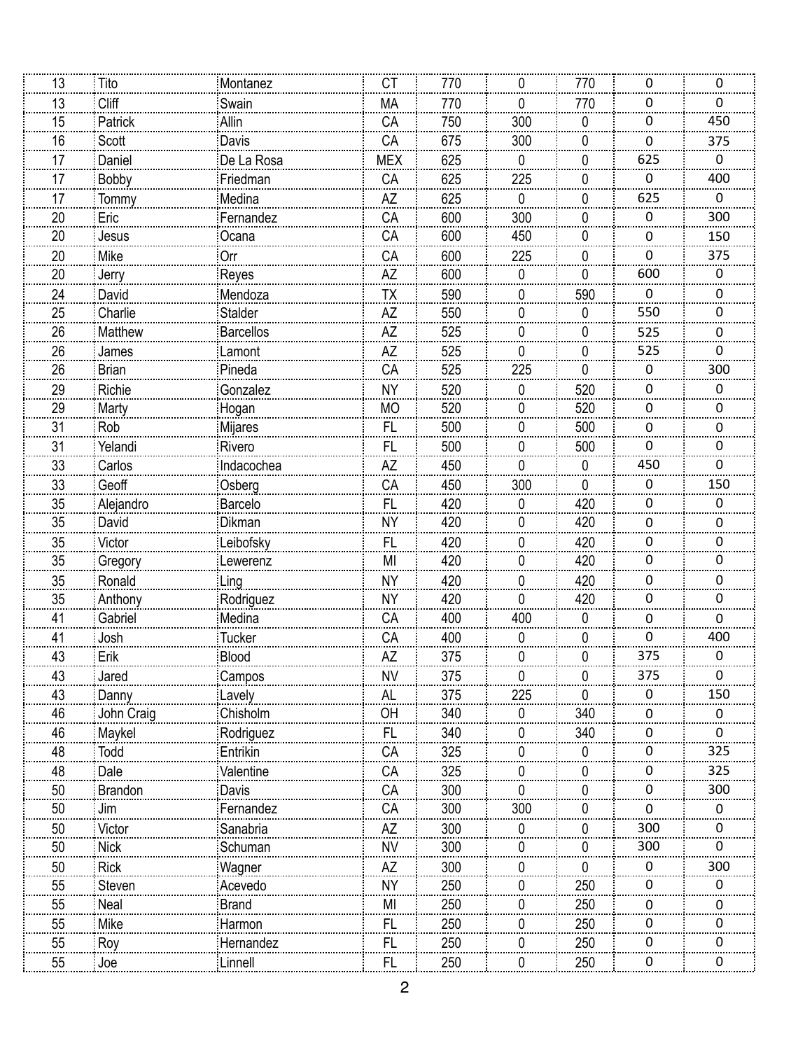| 13 | Tito         | Montanez         | СT         | 770 | 0            | 770 | 0                | 0           |
|----|--------------|------------------|------------|-----|--------------|-----|------------------|-------------|
| 13 | Cliff        | Swain            | <b>MA</b>  | 770 | 0            | 770 | 0                | 0           |
| 15 | Patrick      | Allin            | CA         | 750 | 300          | 0   | $\boldsymbol{0}$ | 450         |
| 16 | Scott        | Davis            | CA         | 675 | 300          | 0   | 0                | 375         |
| 17 | Daniel       | De La Rosa       | <b>MEX</b> | 625 | 0            | 0   | 625              | $\mathbf 0$ |
| 17 | Bobby        | Friedman         | CA         | 625 | 225          | 0   | $\mathbf 0$      | 400         |
| 17 | Tommy        | Medina           | <b>AZ</b>  | 625 | 0            | 0   | 625              | 0           |
| 20 | Eric         | Fernandez        | CA         | 600 | 300          | 0   | $\boldsymbol{0}$ | 300         |
| 20 | Jesus        | Ocana            | CA         | 600 | 450          | 0   | 0                | 150         |
| 20 | Mike         | Orr              | CA         | 600 | 225          | 0   | 0                | 375         |
| 20 | Jerry        | Reyes            | <b>AZ</b>  | 600 | 0            | 0   | 600              | 0           |
| 24 | David        | Mendoza          | TΧ         | 590 | 0            | 590 | 0                | 0           |
| 25 | Charlie      | Stalder          | <b>AZ</b>  | 550 | 0            | 0   | 550              | 0           |
| 26 | Matthew      | <b>Barcellos</b> | ÄŻ         | 525 | 0            | 0   | 525              | 0           |
| 26 | James        | Lamont           | AZ         | 525 | 0            | 0   | 525              | 0           |
| 26 | <b>Brian</b> | Pineda           | CA         | 525 | 225          | 0   | 0                | 300         |
| 29 | Richie       | Gonzalez         | <b>NY</b>  | 520 | 0            | 520 | 0                | 0           |
| 29 | Marty        | Hogan            | <b>MO</b>  | 520 | 0            | 520 | $\mathbf 0$      | 0           |
| 31 | Rob          | Mijares          | FL         | 500 | 0            | 500 | 0                | 0           |
| 31 | Yelandi      | Rivero           | FL         | 500 | 0            | 500 | 0                | 0           |
| 33 | Carlos       | Indacochea       | <b>AZ</b>  | 450 | 0            | 0   | 450              | 0           |
| 33 | Geoff        | Osberg           | CA         | 450 | 300          | 0   | 0                | 150         |
| 35 | Alejandro    | Barcelo          | <b>FL</b>  | 420 | 0            | 420 | $\boldsymbol{0}$ | 0           |
| 35 | David        | Dikman           | <b>NY</b>  | 420 | 0            | 420 | 0                | 0           |
| 35 | Victor       | Leibofsky        | FL         | 420 | 0            | 420 | 0                | 0           |
| 35 | Gregory      | Lewerenz         | MI         | 420 | 0            | 420 | 0                | 0           |
| 35 | Ronald       | Ling             | <b>NY</b>  | 420 | 0            | 420 | 0                | 0           |
| 35 | Anthony      | Rodriguez        | <b>NY</b>  | 420 | 0            | 420 | $\boldsymbol{0}$ | 0           |
| 41 | Gabriel      | Medina           | CA         | 400 | 400          | 0   | 0                | 0           |
| 41 | Josh         | <b>Tucker</b>    | CA         | 400 | 0            | 0   | 0                | 400         |
| 43 | Erik         | Blood            | AZ         | 375 | 0            | 0   | 375              | 0           |
| 43 | Jared        | Campos           | <b>NV</b>  | 375 | 0            | 0   | 375              | 0           |
| 43 | Danny        | Lavely           | <b>AL</b>  | 375 | 225          | 0   | 0                | 150         |
| 46 | John Craig   | Chisholm         | OH         | 340 | U            | 340 | 0                | 0           |
| 46 | Maykel       | Rodriguez        | FL         | 340 | O            | 340 | 0                | 0           |
| 48 | Todd         | Entrikin         | CA         | 325 | 0            | 0   | 0                | 325         |
| 48 | Dale         | Valentine        | CA         | 325 | <sup>0</sup> | 0   | 0                | 325         |
| 50 | Brandon      | Davis            | CA         | 300 | 0            | 0   | 0                | 300         |
| 50 | Jim          | Fernandez        | CA         | 300 | 300          | 0   | 0                | 0           |
| 50 | Victor       | Sanabria         | AZ         | 300 | 0            | 0   | 300              | U.          |
| 50 | <b>Nick</b>  | Schuman          | <b>NV</b>  | 300 | O            | 0   | 300              |             |
| 50 | <b>Rick</b>  | Wagner           | AZ         | 300 | 0            | 0   | 0                | 300         |
| 55 | Steven       | Acevedo          | <b>NY</b>  | 250 | <sup>0</sup> | 250 | 0                | 0           |
| 55 | Neal         | Brand            | MI         | 250 | 0            | 250 | 0                | 0           |
| 55 | Mike         | Harmon           | FL         | 250 | 0            | 250 | 0                | U.          |
| 55 | Roy          | Hernandez        | <b>FL</b>  | 250 | 0            | 250 | 0                | O           |
| 55 | Joe          | Linnell          | FL         | 250 | 0            | 250 | 0                | 0           |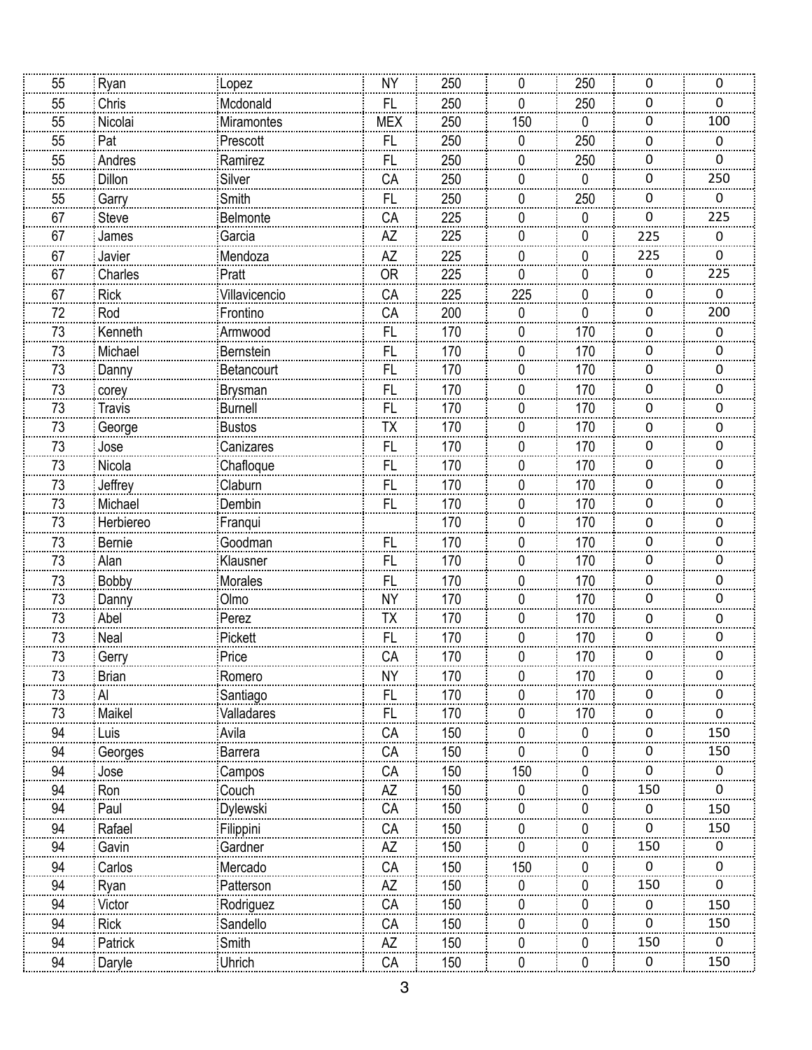| 250<br><b>NY</b><br>250<br>55<br>Ryan<br>0<br>0<br>0<br>Lopez<br>55<br>Chris<br><b>FL</b><br>0<br>0<br>Mcdonald<br>250<br>250<br>0<br>55<br><b>MEX</b><br>250<br>150<br>0<br>$\boldsymbol{0}$<br>100<br>Nicolai<br>Miramontes<br>55<br>250<br>FL<br>250<br>Pat<br>Prescott<br>0<br>0<br>0<br>Ramirez<br>250<br>55<br>Andres<br>FL<br>250<br>0<br>0<br>0<br>250<br>55<br>Silver<br>CA<br>250<br><b>Dillon</b><br>0<br>0<br>0<br>55<br>FL<br>250<br>250<br>0<br>Smith<br>0<br>0<br>Garry<br>67<br>CA<br>225<br>225<br>Belmonte<br>0<br>$\mathbf 0$<br>Steve<br>0<br>67<br>AZ<br>225<br>Garcia<br>James<br>225<br>0<br>0<br>0<br>225<br>225<br>67<br>Mendoza<br>AZ<br>Javier<br>0<br>0<br>0<br>225<br>225<br>67<br><b>OR</b><br>Pratt<br>0<br>0<br>0<br>Charles<br>225<br>67<br>CA<br>225<br>0<br><b>Rick</b><br>Villavicencio<br>0<br>0<br>72<br>CA<br>Rod<br>Frontino<br>200<br>$\mathbf 0$<br>0<br>$\mathbf 0$<br>200<br><br>FL<br><br>73<br>Kenneth<br>170<br>170<br>Armwood<br>0<br>0<br>0<br>73<br>170<br>FL<br>170<br>Michael<br>Bernstein<br>0<br>0<br>0<br>73<br><b>FL</b><br>170<br>0<br>170<br>0<br>Danny<br>Betancourt<br>0<br>73<br>170<br>170<br>0<br>FL<br>0<br><b>Brysman</b><br>0<br>corey<br><b>FL</b><br>73<br><b>Travis</b><br><b>Burnell</b><br>170<br>170<br>$\mathbf 0$<br>0<br>0<br>Bustos<br>73<br>TΧ<br>170<br>170<br>George<br>0<br>0<br>0<br>73<br>170<br>Canizares<br>FL<br>170<br>0<br>0<br>Jose<br>0<br>73<br><b>FL</b><br>170<br>170<br>Nicola<br>Chafloque<br>0<br>0<br>0<br>73<br>Claburn<br>170<br>170<br>0<br>Jeffrey<br>FL<br>0<br>0<br>Dembin<br>73<br>Michael<br><b>FL</b><br>170<br>170<br>$\boldsymbol{0}$<br>0<br>0<br>73<br>170<br>170<br>Herbiereo<br>Franqui<br>0<br>0<br>0<br>73<br>Goodman<br>170<br>170<br>FL<br>0<br>0<br><b>Bernie</b><br>0<br>73<br><b>FL</b><br>170<br>0<br>170<br>0<br>Alan<br>Klausner<br>0<br>73<br>170<br>170<br>0<br>FL<br>0<br><b>Bobby</b><br><b>Morales</b><br>0<br><b>NY</b><br>73<br>170<br>170<br>$\boldsymbol{0}$<br>0<br>Olmo<br>0<br>Danny<br>73<br>TΧ<br>170<br>Abel<br>170<br>Perez<br>0<br>0<br>0<br>73<br>Pickett<br>FL<br>170<br>170<br>0<br>0<br>Neal<br>0<br>73<br>Price<br>CA<br>170<br>0<br>170<br>0<br>0<br>Gerry<br>170<br>73<br><b>NY</b><br>0<br>0<br><b>Brian</b><br>Romero<br>0<br>170<br>Santiago<br><b>FL</b><br>170<br>73<br>170<br>Al<br>O.<br>U<br>0<br>Valladares<br>Maikel<br>FL<br>73<br>170<br>170<br>0<br>0<br>0<br>94<br>Avila<br>CA<br>150<br>150<br>Luis<br>0<br>U<br>0<br>150<br>94<br>CA<br>150<br><b>Barrera</b><br>0<br>0<br>0<br>Georges<br>CA<br>94<br>150<br>150<br>Jose<br>Campos<br>0<br>0<br>0<br>150<br>150<br>94<br>AZ<br>Couch<br>0<br>Ron<br>0<br>0<br>94<br>CA<br>Dylewski<br>150<br>Paul<br>150<br>0<br>0<br>0<br>94<br>CA<br>150<br>150<br>Rafael<br>Filippini<br>$\Omega$<br>O<br>0<br>150<br>94<br>$\mathsf{A}\mathsf{Z}$<br>150<br>Gavin<br>Gardner<br>0<br>U<br>CA<br>94<br>Carlos<br>Mercado<br>150<br>150<br>0<br>0<br>0<br><b>AZ</b><br>150<br>150<br>94<br>Patterson<br>0<br>Ryan<br>0<br>0<br>94<br>CA<br>Rodriguez<br>150<br>Victor<br>150<br>0<br>U<br>0<br>94<br>Sandello<br>CA<br>150<br>150<br><b>Rick</b><br>$\Omega$<br>O<br>0<br>150<br>Patrick<br>Smith<br>AZ<br>150<br>94<br>0<br>0<br>0 |    |        |        |    |     |   |   |   |     |
|-----------------------------------------------------------------------------------------------------------------------------------------------------------------------------------------------------------------------------------------------------------------------------------------------------------------------------------------------------------------------------------------------------------------------------------------------------------------------------------------------------------------------------------------------------------------------------------------------------------------------------------------------------------------------------------------------------------------------------------------------------------------------------------------------------------------------------------------------------------------------------------------------------------------------------------------------------------------------------------------------------------------------------------------------------------------------------------------------------------------------------------------------------------------------------------------------------------------------------------------------------------------------------------------------------------------------------------------------------------------------------------------------------------------------------------------------------------------------------------------------------------------------------------------------------------------------------------------------------------------------------------------------------------------------------------------------------------------------------------------------------------------------------------------------------------------------------------------------------------------------------------------------------------------------------------------------------------------------------------------------------------------------------------------------------------------------------------------------------------------------------------------------------------------------------------------------------------------------------------------------------------------------------------------------------------------------------------------------------------------------------------------------------------------------------------------------------------------------------------------------------------------------------------------------------------------------------------------------------------------------------------------------------------------------------------------------------------------------------------------------------------------------------------------------------------------------------------------------------------------------------------------------------------------------------------------------------------------------------------------------------------------------------------------------------------------------------------------------------------------------------------------------------------------------------------------------------------------------------------------|----|--------|--------|----|-----|---|---|---|-----|
|                                                                                                                                                                                                                                                                                                                                                                                                                                                                                                                                                                                                                                                                                                                                                                                                                                                                                                                                                                                                                                                                                                                                                                                                                                                                                                                                                                                                                                                                                                                                                                                                                                                                                                                                                                                                                                                                                                                                                                                                                                                                                                                                                                                                                                                                                                                                                                                                                                                                                                                                                                                                                                                                                                                                                                                                                                                                                                                                                                                                                                                                                                                                                                                                                                         |    |        |        |    |     |   |   |   |     |
|                                                                                                                                                                                                                                                                                                                                                                                                                                                                                                                                                                                                                                                                                                                                                                                                                                                                                                                                                                                                                                                                                                                                                                                                                                                                                                                                                                                                                                                                                                                                                                                                                                                                                                                                                                                                                                                                                                                                                                                                                                                                                                                                                                                                                                                                                                                                                                                                                                                                                                                                                                                                                                                                                                                                                                                                                                                                                                                                                                                                                                                                                                                                                                                                                                         |    |        |        |    |     |   |   |   |     |
|                                                                                                                                                                                                                                                                                                                                                                                                                                                                                                                                                                                                                                                                                                                                                                                                                                                                                                                                                                                                                                                                                                                                                                                                                                                                                                                                                                                                                                                                                                                                                                                                                                                                                                                                                                                                                                                                                                                                                                                                                                                                                                                                                                                                                                                                                                                                                                                                                                                                                                                                                                                                                                                                                                                                                                                                                                                                                                                                                                                                                                                                                                                                                                                                                                         |    |        |        |    |     |   |   |   |     |
|                                                                                                                                                                                                                                                                                                                                                                                                                                                                                                                                                                                                                                                                                                                                                                                                                                                                                                                                                                                                                                                                                                                                                                                                                                                                                                                                                                                                                                                                                                                                                                                                                                                                                                                                                                                                                                                                                                                                                                                                                                                                                                                                                                                                                                                                                                                                                                                                                                                                                                                                                                                                                                                                                                                                                                                                                                                                                                                                                                                                                                                                                                                                                                                                                                         |    |        |        |    |     |   |   |   |     |
|                                                                                                                                                                                                                                                                                                                                                                                                                                                                                                                                                                                                                                                                                                                                                                                                                                                                                                                                                                                                                                                                                                                                                                                                                                                                                                                                                                                                                                                                                                                                                                                                                                                                                                                                                                                                                                                                                                                                                                                                                                                                                                                                                                                                                                                                                                                                                                                                                                                                                                                                                                                                                                                                                                                                                                                                                                                                                                                                                                                                                                                                                                                                                                                                                                         |    |        |        |    |     |   |   |   |     |
|                                                                                                                                                                                                                                                                                                                                                                                                                                                                                                                                                                                                                                                                                                                                                                                                                                                                                                                                                                                                                                                                                                                                                                                                                                                                                                                                                                                                                                                                                                                                                                                                                                                                                                                                                                                                                                                                                                                                                                                                                                                                                                                                                                                                                                                                                                                                                                                                                                                                                                                                                                                                                                                                                                                                                                                                                                                                                                                                                                                                                                                                                                                                                                                                                                         |    |        |        |    |     |   |   |   |     |
|                                                                                                                                                                                                                                                                                                                                                                                                                                                                                                                                                                                                                                                                                                                                                                                                                                                                                                                                                                                                                                                                                                                                                                                                                                                                                                                                                                                                                                                                                                                                                                                                                                                                                                                                                                                                                                                                                                                                                                                                                                                                                                                                                                                                                                                                                                                                                                                                                                                                                                                                                                                                                                                                                                                                                                                                                                                                                                                                                                                                                                                                                                                                                                                                                                         |    |        |        |    |     |   |   |   |     |
|                                                                                                                                                                                                                                                                                                                                                                                                                                                                                                                                                                                                                                                                                                                                                                                                                                                                                                                                                                                                                                                                                                                                                                                                                                                                                                                                                                                                                                                                                                                                                                                                                                                                                                                                                                                                                                                                                                                                                                                                                                                                                                                                                                                                                                                                                                                                                                                                                                                                                                                                                                                                                                                                                                                                                                                                                                                                                                                                                                                                                                                                                                                                                                                                                                         |    |        |        |    |     |   |   |   |     |
|                                                                                                                                                                                                                                                                                                                                                                                                                                                                                                                                                                                                                                                                                                                                                                                                                                                                                                                                                                                                                                                                                                                                                                                                                                                                                                                                                                                                                                                                                                                                                                                                                                                                                                                                                                                                                                                                                                                                                                                                                                                                                                                                                                                                                                                                                                                                                                                                                                                                                                                                                                                                                                                                                                                                                                                                                                                                                                                                                                                                                                                                                                                                                                                                                                         |    |        |        |    |     |   |   |   |     |
|                                                                                                                                                                                                                                                                                                                                                                                                                                                                                                                                                                                                                                                                                                                                                                                                                                                                                                                                                                                                                                                                                                                                                                                                                                                                                                                                                                                                                                                                                                                                                                                                                                                                                                                                                                                                                                                                                                                                                                                                                                                                                                                                                                                                                                                                                                                                                                                                                                                                                                                                                                                                                                                                                                                                                                                                                                                                                                                                                                                                                                                                                                                                                                                                                                         |    |        |        |    |     |   |   |   |     |
|                                                                                                                                                                                                                                                                                                                                                                                                                                                                                                                                                                                                                                                                                                                                                                                                                                                                                                                                                                                                                                                                                                                                                                                                                                                                                                                                                                                                                                                                                                                                                                                                                                                                                                                                                                                                                                                                                                                                                                                                                                                                                                                                                                                                                                                                                                                                                                                                                                                                                                                                                                                                                                                                                                                                                                                                                                                                                                                                                                                                                                                                                                                                                                                                                                         |    |        |        |    |     |   |   |   |     |
|                                                                                                                                                                                                                                                                                                                                                                                                                                                                                                                                                                                                                                                                                                                                                                                                                                                                                                                                                                                                                                                                                                                                                                                                                                                                                                                                                                                                                                                                                                                                                                                                                                                                                                                                                                                                                                                                                                                                                                                                                                                                                                                                                                                                                                                                                                                                                                                                                                                                                                                                                                                                                                                                                                                                                                                                                                                                                                                                                                                                                                                                                                                                                                                                                                         |    |        |        |    |     |   |   |   |     |
|                                                                                                                                                                                                                                                                                                                                                                                                                                                                                                                                                                                                                                                                                                                                                                                                                                                                                                                                                                                                                                                                                                                                                                                                                                                                                                                                                                                                                                                                                                                                                                                                                                                                                                                                                                                                                                                                                                                                                                                                                                                                                                                                                                                                                                                                                                                                                                                                                                                                                                                                                                                                                                                                                                                                                                                                                                                                                                                                                                                                                                                                                                                                                                                                                                         |    |        |        |    |     |   |   |   |     |
|                                                                                                                                                                                                                                                                                                                                                                                                                                                                                                                                                                                                                                                                                                                                                                                                                                                                                                                                                                                                                                                                                                                                                                                                                                                                                                                                                                                                                                                                                                                                                                                                                                                                                                                                                                                                                                                                                                                                                                                                                                                                                                                                                                                                                                                                                                                                                                                                                                                                                                                                                                                                                                                                                                                                                                                                                                                                                                                                                                                                                                                                                                                                                                                                                                         |    |        |        |    |     |   |   |   |     |
|                                                                                                                                                                                                                                                                                                                                                                                                                                                                                                                                                                                                                                                                                                                                                                                                                                                                                                                                                                                                                                                                                                                                                                                                                                                                                                                                                                                                                                                                                                                                                                                                                                                                                                                                                                                                                                                                                                                                                                                                                                                                                                                                                                                                                                                                                                                                                                                                                                                                                                                                                                                                                                                                                                                                                                                                                                                                                                                                                                                                                                                                                                                                                                                                                                         |    |        |        |    |     |   |   |   |     |
|                                                                                                                                                                                                                                                                                                                                                                                                                                                                                                                                                                                                                                                                                                                                                                                                                                                                                                                                                                                                                                                                                                                                                                                                                                                                                                                                                                                                                                                                                                                                                                                                                                                                                                                                                                                                                                                                                                                                                                                                                                                                                                                                                                                                                                                                                                                                                                                                                                                                                                                                                                                                                                                                                                                                                                                                                                                                                                                                                                                                                                                                                                                                                                                                                                         |    |        |        |    |     |   |   |   |     |
|                                                                                                                                                                                                                                                                                                                                                                                                                                                                                                                                                                                                                                                                                                                                                                                                                                                                                                                                                                                                                                                                                                                                                                                                                                                                                                                                                                                                                                                                                                                                                                                                                                                                                                                                                                                                                                                                                                                                                                                                                                                                                                                                                                                                                                                                                                                                                                                                                                                                                                                                                                                                                                                                                                                                                                                                                                                                                                                                                                                                                                                                                                                                                                                                                                         |    |        |        |    |     |   |   |   |     |
|                                                                                                                                                                                                                                                                                                                                                                                                                                                                                                                                                                                                                                                                                                                                                                                                                                                                                                                                                                                                                                                                                                                                                                                                                                                                                                                                                                                                                                                                                                                                                                                                                                                                                                                                                                                                                                                                                                                                                                                                                                                                                                                                                                                                                                                                                                                                                                                                                                                                                                                                                                                                                                                                                                                                                                                                                                                                                                                                                                                                                                                                                                                                                                                                                                         |    |        |        |    |     |   |   |   |     |
|                                                                                                                                                                                                                                                                                                                                                                                                                                                                                                                                                                                                                                                                                                                                                                                                                                                                                                                                                                                                                                                                                                                                                                                                                                                                                                                                                                                                                                                                                                                                                                                                                                                                                                                                                                                                                                                                                                                                                                                                                                                                                                                                                                                                                                                                                                                                                                                                                                                                                                                                                                                                                                                                                                                                                                                                                                                                                                                                                                                                                                                                                                                                                                                                                                         |    |        |        |    |     |   |   |   |     |
|                                                                                                                                                                                                                                                                                                                                                                                                                                                                                                                                                                                                                                                                                                                                                                                                                                                                                                                                                                                                                                                                                                                                                                                                                                                                                                                                                                                                                                                                                                                                                                                                                                                                                                                                                                                                                                                                                                                                                                                                                                                                                                                                                                                                                                                                                                                                                                                                                                                                                                                                                                                                                                                                                                                                                                                                                                                                                                                                                                                                                                                                                                                                                                                                                                         |    |        |        |    |     |   |   |   |     |
|                                                                                                                                                                                                                                                                                                                                                                                                                                                                                                                                                                                                                                                                                                                                                                                                                                                                                                                                                                                                                                                                                                                                                                                                                                                                                                                                                                                                                                                                                                                                                                                                                                                                                                                                                                                                                                                                                                                                                                                                                                                                                                                                                                                                                                                                                                                                                                                                                                                                                                                                                                                                                                                                                                                                                                                                                                                                                                                                                                                                                                                                                                                                                                                                                                         |    |        |        |    |     |   |   |   |     |
|                                                                                                                                                                                                                                                                                                                                                                                                                                                                                                                                                                                                                                                                                                                                                                                                                                                                                                                                                                                                                                                                                                                                                                                                                                                                                                                                                                                                                                                                                                                                                                                                                                                                                                                                                                                                                                                                                                                                                                                                                                                                                                                                                                                                                                                                                                                                                                                                                                                                                                                                                                                                                                                                                                                                                                                                                                                                                                                                                                                                                                                                                                                                                                                                                                         |    |        |        |    |     |   |   |   |     |
|                                                                                                                                                                                                                                                                                                                                                                                                                                                                                                                                                                                                                                                                                                                                                                                                                                                                                                                                                                                                                                                                                                                                                                                                                                                                                                                                                                                                                                                                                                                                                                                                                                                                                                                                                                                                                                                                                                                                                                                                                                                                                                                                                                                                                                                                                                                                                                                                                                                                                                                                                                                                                                                                                                                                                                                                                                                                                                                                                                                                                                                                                                                                                                                                                                         |    |        |        |    |     |   |   |   |     |
|                                                                                                                                                                                                                                                                                                                                                                                                                                                                                                                                                                                                                                                                                                                                                                                                                                                                                                                                                                                                                                                                                                                                                                                                                                                                                                                                                                                                                                                                                                                                                                                                                                                                                                                                                                                                                                                                                                                                                                                                                                                                                                                                                                                                                                                                                                                                                                                                                                                                                                                                                                                                                                                                                                                                                                                                                                                                                                                                                                                                                                                                                                                                                                                                                                         |    |        |        |    |     |   |   |   |     |
|                                                                                                                                                                                                                                                                                                                                                                                                                                                                                                                                                                                                                                                                                                                                                                                                                                                                                                                                                                                                                                                                                                                                                                                                                                                                                                                                                                                                                                                                                                                                                                                                                                                                                                                                                                                                                                                                                                                                                                                                                                                                                                                                                                                                                                                                                                                                                                                                                                                                                                                                                                                                                                                                                                                                                                                                                                                                                                                                                                                                                                                                                                                                                                                                                                         |    |        |        |    |     |   |   |   |     |
|                                                                                                                                                                                                                                                                                                                                                                                                                                                                                                                                                                                                                                                                                                                                                                                                                                                                                                                                                                                                                                                                                                                                                                                                                                                                                                                                                                                                                                                                                                                                                                                                                                                                                                                                                                                                                                                                                                                                                                                                                                                                                                                                                                                                                                                                                                                                                                                                                                                                                                                                                                                                                                                                                                                                                                                                                                                                                                                                                                                                                                                                                                                                                                                                                                         |    |        |        |    |     |   |   |   |     |
|                                                                                                                                                                                                                                                                                                                                                                                                                                                                                                                                                                                                                                                                                                                                                                                                                                                                                                                                                                                                                                                                                                                                                                                                                                                                                                                                                                                                                                                                                                                                                                                                                                                                                                                                                                                                                                                                                                                                                                                                                                                                                                                                                                                                                                                                                                                                                                                                                                                                                                                                                                                                                                                                                                                                                                                                                                                                                                                                                                                                                                                                                                                                                                                                                                         |    |        |        |    |     |   |   |   |     |
|                                                                                                                                                                                                                                                                                                                                                                                                                                                                                                                                                                                                                                                                                                                                                                                                                                                                                                                                                                                                                                                                                                                                                                                                                                                                                                                                                                                                                                                                                                                                                                                                                                                                                                                                                                                                                                                                                                                                                                                                                                                                                                                                                                                                                                                                                                                                                                                                                                                                                                                                                                                                                                                                                                                                                                                                                                                                                                                                                                                                                                                                                                                                                                                                                                         |    |        |        |    |     |   |   |   |     |
|                                                                                                                                                                                                                                                                                                                                                                                                                                                                                                                                                                                                                                                                                                                                                                                                                                                                                                                                                                                                                                                                                                                                                                                                                                                                                                                                                                                                                                                                                                                                                                                                                                                                                                                                                                                                                                                                                                                                                                                                                                                                                                                                                                                                                                                                                                                                                                                                                                                                                                                                                                                                                                                                                                                                                                                                                                                                                                                                                                                                                                                                                                                                                                                                                                         |    |        |        |    |     |   |   |   |     |
|                                                                                                                                                                                                                                                                                                                                                                                                                                                                                                                                                                                                                                                                                                                                                                                                                                                                                                                                                                                                                                                                                                                                                                                                                                                                                                                                                                                                                                                                                                                                                                                                                                                                                                                                                                                                                                                                                                                                                                                                                                                                                                                                                                                                                                                                                                                                                                                                                                                                                                                                                                                                                                                                                                                                                                                                                                                                                                                                                                                                                                                                                                                                                                                                                                         |    |        |        |    |     |   |   |   |     |
|                                                                                                                                                                                                                                                                                                                                                                                                                                                                                                                                                                                                                                                                                                                                                                                                                                                                                                                                                                                                                                                                                                                                                                                                                                                                                                                                                                                                                                                                                                                                                                                                                                                                                                                                                                                                                                                                                                                                                                                                                                                                                                                                                                                                                                                                                                                                                                                                                                                                                                                                                                                                                                                                                                                                                                                                                                                                                                                                                                                                                                                                                                                                                                                                                                         |    |        |        |    |     |   |   |   |     |
|                                                                                                                                                                                                                                                                                                                                                                                                                                                                                                                                                                                                                                                                                                                                                                                                                                                                                                                                                                                                                                                                                                                                                                                                                                                                                                                                                                                                                                                                                                                                                                                                                                                                                                                                                                                                                                                                                                                                                                                                                                                                                                                                                                                                                                                                                                                                                                                                                                                                                                                                                                                                                                                                                                                                                                                                                                                                                                                                                                                                                                                                                                                                                                                                                                         |    |        |        |    |     |   |   |   |     |
|                                                                                                                                                                                                                                                                                                                                                                                                                                                                                                                                                                                                                                                                                                                                                                                                                                                                                                                                                                                                                                                                                                                                                                                                                                                                                                                                                                                                                                                                                                                                                                                                                                                                                                                                                                                                                                                                                                                                                                                                                                                                                                                                                                                                                                                                                                                                                                                                                                                                                                                                                                                                                                                                                                                                                                                                                                                                                                                                                                                                                                                                                                                                                                                                                                         |    |        |        |    |     |   |   |   |     |
|                                                                                                                                                                                                                                                                                                                                                                                                                                                                                                                                                                                                                                                                                                                                                                                                                                                                                                                                                                                                                                                                                                                                                                                                                                                                                                                                                                                                                                                                                                                                                                                                                                                                                                                                                                                                                                                                                                                                                                                                                                                                                                                                                                                                                                                                                                                                                                                                                                                                                                                                                                                                                                                                                                                                                                                                                                                                                                                                                                                                                                                                                                                                                                                                                                         |    |        |        |    |     |   |   |   |     |
|                                                                                                                                                                                                                                                                                                                                                                                                                                                                                                                                                                                                                                                                                                                                                                                                                                                                                                                                                                                                                                                                                                                                                                                                                                                                                                                                                                                                                                                                                                                                                                                                                                                                                                                                                                                                                                                                                                                                                                                                                                                                                                                                                                                                                                                                                                                                                                                                                                                                                                                                                                                                                                                                                                                                                                                                                                                                                                                                                                                                                                                                                                                                                                                                                                         |    |        |        |    |     |   |   |   |     |
|                                                                                                                                                                                                                                                                                                                                                                                                                                                                                                                                                                                                                                                                                                                                                                                                                                                                                                                                                                                                                                                                                                                                                                                                                                                                                                                                                                                                                                                                                                                                                                                                                                                                                                                                                                                                                                                                                                                                                                                                                                                                                                                                                                                                                                                                                                                                                                                                                                                                                                                                                                                                                                                                                                                                                                                                                                                                                                                                                                                                                                                                                                                                                                                                                                         |    |        |        |    |     |   |   |   |     |
|                                                                                                                                                                                                                                                                                                                                                                                                                                                                                                                                                                                                                                                                                                                                                                                                                                                                                                                                                                                                                                                                                                                                                                                                                                                                                                                                                                                                                                                                                                                                                                                                                                                                                                                                                                                                                                                                                                                                                                                                                                                                                                                                                                                                                                                                                                                                                                                                                                                                                                                                                                                                                                                                                                                                                                                                                                                                                                                                                                                                                                                                                                                                                                                                                                         |    |        |        |    |     |   |   |   |     |
|                                                                                                                                                                                                                                                                                                                                                                                                                                                                                                                                                                                                                                                                                                                                                                                                                                                                                                                                                                                                                                                                                                                                                                                                                                                                                                                                                                                                                                                                                                                                                                                                                                                                                                                                                                                                                                                                                                                                                                                                                                                                                                                                                                                                                                                                                                                                                                                                                                                                                                                                                                                                                                                                                                                                                                                                                                                                                                                                                                                                                                                                                                                                                                                                                                         |    |        |        |    |     |   |   |   |     |
|                                                                                                                                                                                                                                                                                                                                                                                                                                                                                                                                                                                                                                                                                                                                                                                                                                                                                                                                                                                                                                                                                                                                                                                                                                                                                                                                                                                                                                                                                                                                                                                                                                                                                                                                                                                                                                                                                                                                                                                                                                                                                                                                                                                                                                                                                                                                                                                                                                                                                                                                                                                                                                                                                                                                                                                                                                                                                                                                                                                                                                                                                                                                                                                                                                         |    |        |        |    |     |   |   |   |     |
|                                                                                                                                                                                                                                                                                                                                                                                                                                                                                                                                                                                                                                                                                                                                                                                                                                                                                                                                                                                                                                                                                                                                                                                                                                                                                                                                                                                                                                                                                                                                                                                                                                                                                                                                                                                                                                                                                                                                                                                                                                                                                                                                                                                                                                                                                                                                                                                                                                                                                                                                                                                                                                                                                                                                                                                                                                                                                                                                                                                                                                                                                                                                                                                                                                         |    |        |        |    |     |   |   |   |     |
|                                                                                                                                                                                                                                                                                                                                                                                                                                                                                                                                                                                                                                                                                                                                                                                                                                                                                                                                                                                                                                                                                                                                                                                                                                                                                                                                                                                                                                                                                                                                                                                                                                                                                                                                                                                                                                                                                                                                                                                                                                                                                                                                                                                                                                                                                                                                                                                                                                                                                                                                                                                                                                                                                                                                                                                                                                                                                                                                                                                                                                                                                                                                                                                                                                         |    |        |        |    |     |   |   |   |     |
|                                                                                                                                                                                                                                                                                                                                                                                                                                                                                                                                                                                                                                                                                                                                                                                                                                                                                                                                                                                                                                                                                                                                                                                                                                                                                                                                                                                                                                                                                                                                                                                                                                                                                                                                                                                                                                                                                                                                                                                                                                                                                                                                                                                                                                                                                                                                                                                                                                                                                                                                                                                                                                                                                                                                                                                                                                                                                                                                                                                                                                                                                                                                                                                                                                         |    |        |        |    |     |   |   |   |     |
|                                                                                                                                                                                                                                                                                                                                                                                                                                                                                                                                                                                                                                                                                                                                                                                                                                                                                                                                                                                                                                                                                                                                                                                                                                                                                                                                                                                                                                                                                                                                                                                                                                                                                                                                                                                                                                                                                                                                                                                                                                                                                                                                                                                                                                                                                                                                                                                                                                                                                                                                                                                                                                                                                                                                                                                                                                                                                                                                                                                                                                                                                                                                                                                                                                         |    |        |        |    |     |   |   |   |     |
|                                                                                                                                                                                                                                                                                                                                                                                                                                                                                                                                                                                                                                                                                                                                                                                                                                                                                                                                                                                                                                                                                                                                                                                                                                                                                                                                                                                                                                                                                                                                                                                                                                                                                                                                                                                                                                                                                                                                                                                                                                                                                                                                                                                                                                                                                                                                                                                                                                                                                                                                                                                                                                                                                                                                                                                                                                                                                                                                                                                                                                                                                                                                                                                                                                         |    |        |        |    |     |   |   |   |     |
|                                                                                                                                                                                                                                                                                                                                                                                                                                                                                                                                                                                                                                                                                                                                                                                                                                                                                                                                                                                                                                                                                                                                                                                                                                                                                                                                                                                                                                                                                                                                                                                                                                                                                                                                                                                                                                                                                                                                                                                                                                                                                                                                                                                                                                                                                                                                                                                                                                                                                                                                                                                                                                                                                                                                                                                                                                                                                                                                                                                                                                                                                                                                                                                                                                         |    |        |        |    |     |   |   |   |     |
|                                                                                                                                                                                                                                                                                                                                                                                                                                                                                                                                                                                                                                                                                                                                                                                                                                                                                                                                                                                                                                                                                                                                                                                                                                                                                                                                                                                                                                                                                                                                                                                                                                                                                                                                                                                                                                                                                                                                                                                                                                                                                                                                                                                                                                                                                                                                                                                                                                                                                                                                                                                                                                                                                                                                                                                                                                                                                                                                                                                                                                                                                                                                                                                                                                         |    |        |        |    |     |   |   |   |     |
|                                                                                                                                                                                                                                                                                                                                                                                                                                                                                                                                                                                                                                                                                                                                                                                                                                                                                                                                                                                                                                                                                                                                                                                                                                                                                                                                                                                                                                                                                                                                                                                                                                                                                                                                                                                                                                                                                                                                                                                                                                                                                                                                                                                                                                                                                                                                                                                                                                                                                                                                                                                                                                                                                                                                                                                                                                                                                                                                                                                                                                                                                                                                                                                                                                         | 94 | Daryle | Uhrich | CA | 150 | 0 | 0 | 0 | 150 |